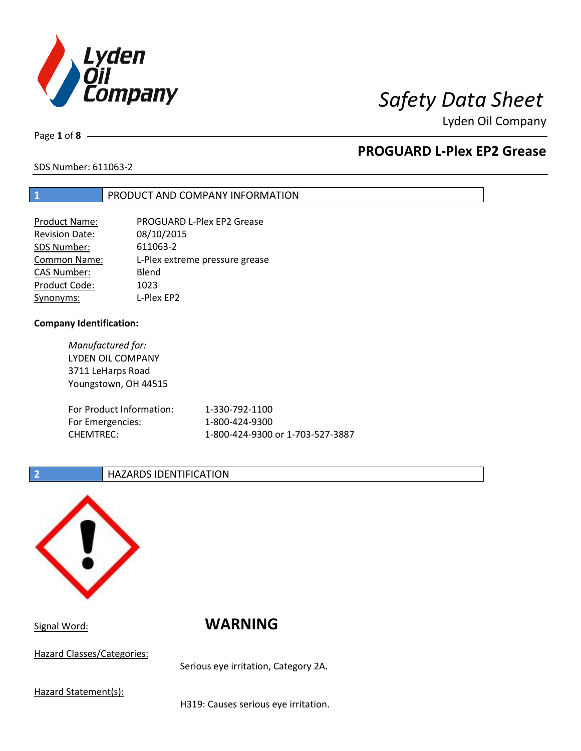

# *Safety Data Sheet*

Lyden Oil Company

Page **1** of **8**

## **PROGUARD L-Plex EP2 Grease**

### SDS Number: 611063-2

## **1** PRODUCT AND COMPANY INFORMATION

| <b>Product Name:</b>  | PROGUARD L-Plex EP2 Grease     |
|-----------------------|--------------------------------|
| <b>Revision Date:</b> | 08/10/2015                     |
| SDS Number:           | 611063-2                       |
| <b>Common Name:</b>   | L-Plex extreme pressure grease |
| <b>CAS Number:</b>    | Blend                          |
| Product Code:         | 1023                           |
| Synonyms:             | L-Plex EP2                     |

### **Company Identification:**

*Manufactured for:*  LYDEN OIL COMPANY 3711 LeHarps Road Youngstown, OH 44515 For Product Information: 1-330-792-1100 For Emergencies: 1-800-424-9300 CHEMTREC: 1-800-424-9300 or 1-703-527-3887

## **2 HAZARDS IDENTIFICATION**



Signal Word: **WARNING** 

Serious eye irritation, Category 2A.

Hazard Statement(s):

Hazard Classes/Categories:

H319: Causes serious eye irritation.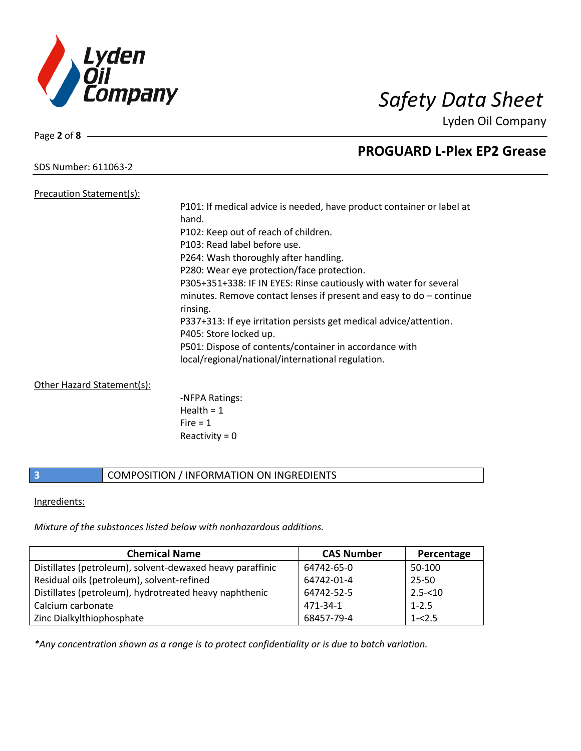

Lyden Oil Company

SDS Number: 611063-2

## Precaution Statement(s):

P101: If medical advice is needed, have product container or label at hand. P102: Keep out of reach of children. P103: Read label before use. P264: Wash thoroughly after handling. P280: Wear eye protection/face protection. P305+351+338: IF IN EYES: Rinse cautiously with water for several minutes. Remove contact lenses if present and easy to do – continue rinsing. P337+313: If eye irritation persists get medical advice/attention. P405: Store locked up. P501: Dispose of contents/container in accordance with local/regional/national/international regulation.

### Other Hazard Statement(s):

-NFPA Ratings: Health  $= 1$  $Fire = 1$ Reactivity  $= 0$ 

## **3** COMPOSITION / INFORMATION ON INGREDIENTS

### Ingredients:

*Mixture of the substances listed below with nonhazardous additions.*

| <b>Chemical Name</b>                                      | <b>CAS Number</b> | Percentage |
|-----------------------------------------------------------|-------------------|------------|
| Distillates (petroleum), solvent-dewaxed heavy paraffinic | 64742-65-0        | 50-100     |
| Residual oils (petroleum), solvent-refined                | 64742-01-4        | 25-50      |
| Distillates (petroleum), hydrotreated heavy naphthenic    | 64742-52-5        | $2.5 - 10$ |
| Calcium carbonate                                         | 471-34-1          | $1 - 2.5$  |
| Zinc Dialkylthiophosphate                                 | 68457-79-4        | $1 - 2.5$  |

*\*Any concentration shown as a range is to protect confidentiality or is due to batch variation.*

Page **2** of **8**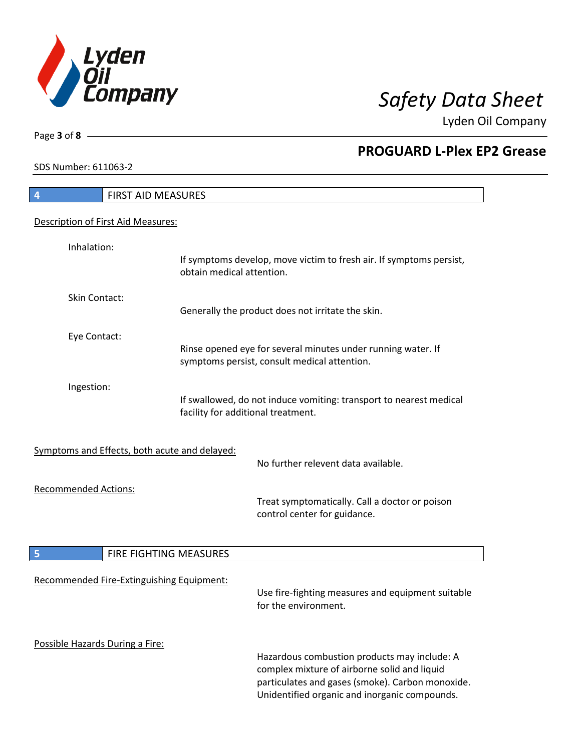

Lyden Oil Company

SDS Number: 611063-2

Page **3** of **8**

## **PROGUARD L-Plex EP2 Grease**

| 4                                  | <b>FIRST AID MEASURES</b>                     |                                                                                                              |                                                                                                                                                                                                   |
|------------------------------------|-----------------------------------------------|--------------------------------------------------------------------------------------------------------------|---------------------------------------------------------------------------------------------------------------------------------------------------------------------------------------------------|
| Description of First Aid Measures: |                                               |                                                                                                              |                                                                                                                                                                                                   |
| Inhalation:                        |                                               | obtain medical attention.                                                                                    | If symptoms develop, move victim to fresh air. If symptoms persist,                                                                                                                               |
| Skin Contact:                      |                                               |                                                                                                              | Generally the product does not irritate the skin.                                                                                                                                                 |
| Eye Contact:                       |                                               | Rinse opened eye for several minutes under running water. If<br>symptoms persist, consult medical attention. |                                                                                                                                                                                                   |
| Ingestion:                         |                                               | If swallowed, do not induce vomiting: transport to nearest medical<br>facility for additional treatment.     |                                                                                                                                                                                                   |
|                                    | Symptoms and Effects, both acute and delayed: |                                                                                                              | No further relevent data available.                                                                                                                                                               |
| <b>Recommended Actions:</b>        |                                               |                                                                                                              | Treat symptomatically. Call a doctor or poison<br>control center for guidance.                                                                                                                    |
| 5                                  | FIRE FIGHTING MEASURES                        |                                                                                                              |                                                                                                                                                                                                   |
|                                    | Recommended Fire-Extinguishing Equipment:     |                                                                                                              | Use fire-fighting measures and equipment suitable<br>for the environment.                                                                                                                         |
| Possible Hazards During a Fire:    |                                               |                                                                                                              | Hazardous combustion products may include: A<br>complex mixture of airborne solid and liquid<br>particulates and gases (smoke). Carbon monoxide.<br>Unidentified organic and inorganic compounds. |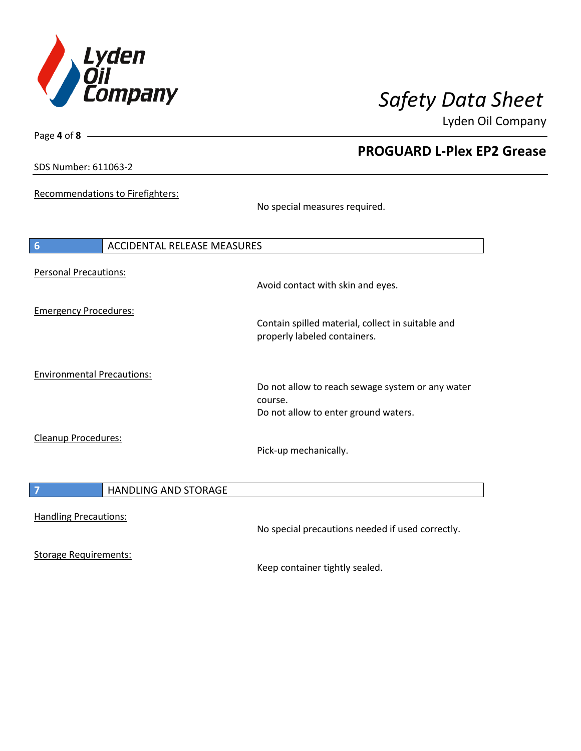

Lyden Oil Company

SDS Number: 611063-2

Page **4** of **8**

Recommendations to Firefighters:

No special measures required.

| 6                                 | <b>ACCIDENTAL RELEASE MEASURES</b> |                                                                                                     |
|-----------------------------------|------------------------------------|-----------------------------------------------------------------------------------------------------|
| <b>Personal Precautions:</b>      |                                    | Avoid contact with skin and eyes.                                                                   |
| <b>Emergency Procedures:</b>      |                                    | Contain spilled material, collect in suitable and<br>properly labeled containers.                   |
| <b>Environmental Precautions:</b> |                                    | Do not allow to reach sewage system or any water<br>course.<br>Do not allow to enter ground waters. |
| <b>Cleanup Procedures:</b>        |                                    | Pick-up mechanically.                                                                               |
| 7                                 | <b>HANDLING AND STORAGE</b>        |                                                                                                     |

Handling Precautions:

No special precautions needed if used correctly.

Storage Requirements:

Keep container tightly sealed.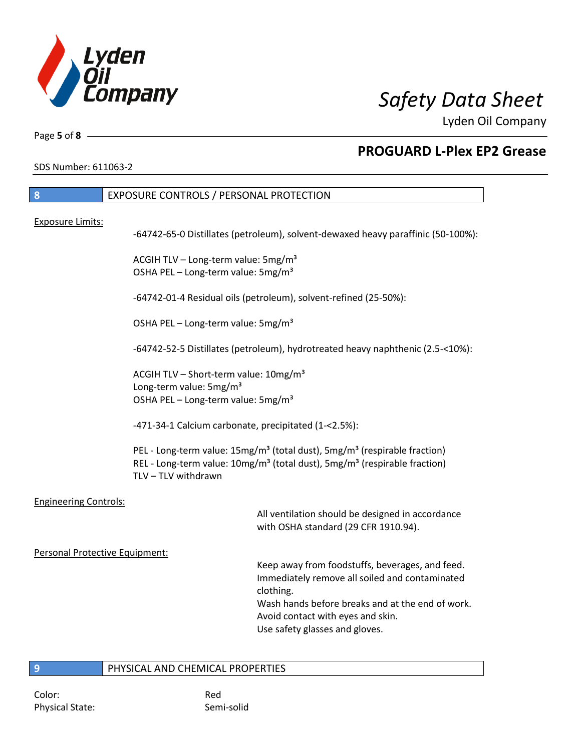

Lyden Oil Company

Page **5** of **8**

## **PROGUARD L-Plex EP2 Grease**

SDS Number: 611063-2

| 8                              | <b>EXPOSURE CONTROLS / PERSONAL PROTECTION</b>                                                                                                                                                                                |  |  |
|--------------------------------|-------------------------------------------------------------------------------------------------------------------------------------------------------------------------------------------------------------------------------|--|--|
| <b>Exposure Limits:</b>        |                                                                                                                                                                                                                               |  |  |
|                                | -64742-65-0 Distillates (petroleum), solvent-dewaxed heavy paraffinic (50-100%):                                                                                                                                              |  |  |
|                                | ACGIH TLV - Long-term value: 5mg/m <sup>3</sup>                                                                                                                                                                               |  |  |
|                                | OSHA PEL - Long-term value: 5mg/m <sup>3</sup>                                                                                                                                                                                |  |  |
|                                | -64742-01-4 Residual oils (petroleum), solvent-refined (25-50%):                                                                                                                                                              |  |  |
|                                | OSHA PEL - Long-term value: 5mg/m <sup>3</sup>                                                                                                                                                                                |  |  |
|                                | -64742-52-5 Distillates (petroleum), hydrotreated heavy naphthenic (2.5-<10%):                                                                                                                                                |  |  |
|                                | ACGIH TLV - Short-term value: 10mg/m <sup>3</sup>                                                                                                                                                                             |  |  |
|                                | Long-term value: 5mg/m <sup>3</sup><br>OSHA PEL - Long-term value: 5mg/m <sup>3</sup>                                                                                                                                         |  |  |
|                                | -471-34-1 Calcium carbonate, precipitated (1-<2.5%):                                                                                                                                                                          |  |  |
|                                | PEL - Long-term value: 15mg/m <sup>3</sup> (total dust), 5mg/m <sup>3</sup> (respirable fraction)<br>REL - Long-term value: 10mg/m <sup>3</sup> (total dust), 5mg/m <sup>3</sup> (respirable fraction)<br>TLV - TLV withdrawn |  |  |
| <b>Engineering Controls:</b>   |                                                                                                                                                                                                                               |  |  |
|                                | All ventilation should be designed in accordance<br>with OSHA standard (29 CFR 1910.94).                                                                                                                                      |  |  |
| Personal Protective Equipment: |                                                                                                                                                                                                                               |  |  |
|                                | Keep away from foodstuffs, beverages, and feed.<br>Immediately remove all soiled and contaminated<br>clothing.                                                                                                                |  |  |
|                                | Wash hands before breaks and at the end of work.                                                                                                                                                                              |  |  |
|                                | Avoid contact with eyes and skin.<br>Use safety glasses and gloves.                                                                                                                                                           |  |  |
|                                |                                                                                                                                                                                                                               |  |  |
| 9                              | PHYSICAL AND CHEMICAL PROPERTIES                                                                                                                                                                                              |  |  |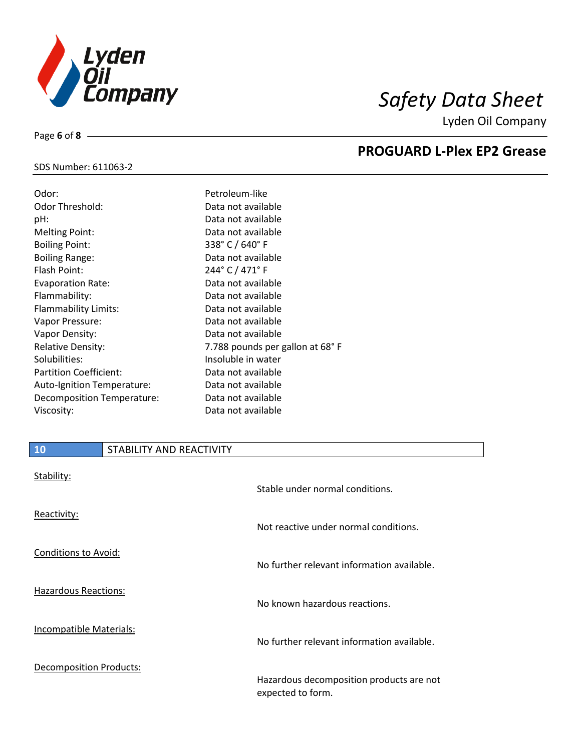

Lyden Oil Company

## SDS Number: 611063-2

Page **6** of **8**

| Odor:                         | Petroleum-like                  |
|-------------------------------|---------------------------------|
| Odor Threshold:               | Data not available              |
| pH:                           | Data not available              |
| <b>Melting Point:</b>         | Data not available              |
| <b>Boiling Point:</b>         | 338° C / 640° F                 |
| <b>Boiling Range:</b>         | Data not available              |
| Flash Point:                  | 244° C / 471° F                 |
| <b>Evaporation Rate:</b>      | Data not available              |
| Flammability:                 | Data not available              |
| Flammability Limits:          | Data not available              |
| Vapor Pressure:               | Data not available              |
| Vapor Density:                | Data not available              |
| <b>Relative Density:</b>      | 7.788 pounds per gallon at 68°F |
| Solubilities:                 | Insoluble in water              |
| <b>Partition Coefficient:</b> | Data not available              |
| Auto-Ignition Temperature:    | Data not available              |
| Decomposition Temperature:    | Data not available              |
| Viscosity:                    | Data not available              |

## **10** STABILITY AND REACTIVITY

| Stability:                     | Stable under normal conditions.                               |
|--------------------------------|---------------------------------------------------------------|
| Reactivity:                    | Not reactive under normal conditions.                         |
| Conditions to Avoid:           | No further relevant information available.                    |
| Hazardous Reactions:           | No known hazardous reactions.                                 |
| <b>Incompatible Materials:</b> | No further relevant information available.                    |
| <b>Decomposition Products:</b> | Hazardous decomposition products are not<br>expected to form. |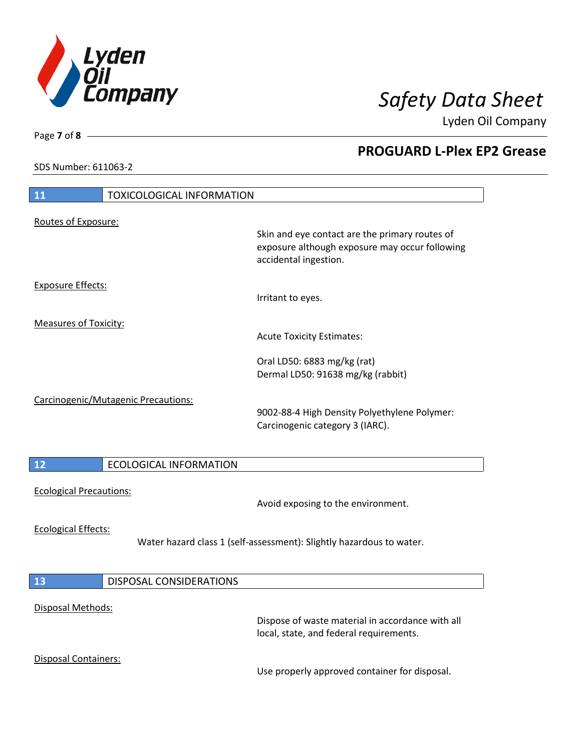

Lyden Oil Company

SDS Number: 611063-2

# **11** TOXICOLOGICAL INFORMATION Routes of Exposure: Skin and eye contact are the primary routes of exposure although exposure may occur following accidental ingestion. Exposure Effects: Irritant to eyes. Measures of Toxicity: Acute Toxicity Estimates: Oral LD50: 6883 mg/kg (rat) Dermal LD50: 91638 mg/kg (rabbit) Carcinogenic/Mutagenic Precautions: 9002-88-4 High Density Polyethylene Polymer: Carcinogenic category 3 (IARC). **12** ECOLOGICAL INFORMATION Ecological Precautions: Avoid exposing to the environment. Ecological Effects: Water hazard class 1 (self-assessment): Slightly hazardous to water. **13** DISPOSAL CONSIDERATIONS Disposal Methods: Dispose of waste material in accordance with all local, state, and federal requirements. Disposal Containers: Use properly approved container for disposal.

Page **7** of **8**